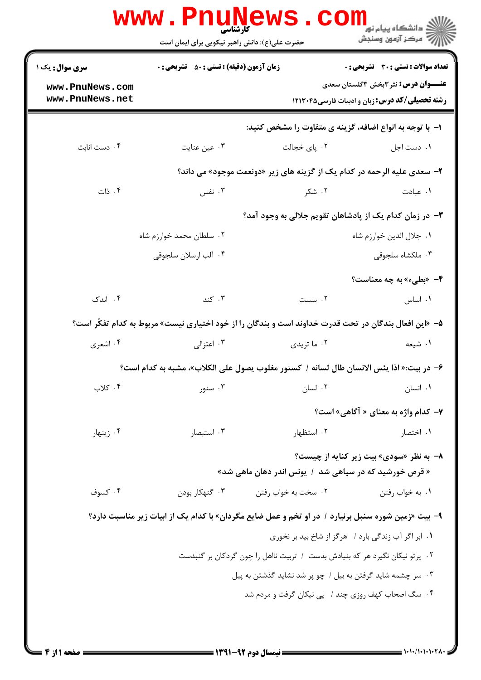| <b>سری سوال :</b> یک ۱                                                                                | <b>زمان آزمون (دقیقه) : تستی : 50 ٪ تشریحی : 0</b>         |                                                                                                    | <b>تعداد سوالات : تستی : 30 ٪ تشریحی : 0</b>          |  |
|-------------------------------------------------------------------------------------------------------|------------------------------------------------------------|----------------------------------------------------------------------------------------------------|-------------------------------------------------------|--|
| www.PnuNews.com                                                                                       |                                                            |                                                                                                    | <b>عنــــوان درس:</b> نثر ۳بخش ۳گلستان سعدی           |  |
| www.PnuNews.net                                                                                       |                                                            |                                                                                                    | <b>رشته تحصیلی/کد درس:</b> زبان و ادبیات فارسی۱۲۱۳۰۴۵ |  |
|                                                                                                       |                                                            | ۱– با توجه به انواع اضافه، گزینه ی متفاوت را مشخص کنید:                                            |                                                       |  |
| ۰۴ دست انابت                                                                                          | ۰۳ عین عنایت                                               | ۰۲ پای خجالت                                                                                       | ٠١ دست اجل                                            |  |
|                                                                                                       |                                                            | ۲- سعدی علیه الرحمه در کدام یک از گزینه های زیر «دونعمت موجود» می داند؟                            |                                                       |  |
| ۰۴ ذات                                                                                                | ۰۳ نفس                                                     | ۰۲ شکر                                                                                             | ۰۱ عبادت                                              |  |
|                                                                                                       |                                                            | ۳– در زمان کدام یک از پادشاهان تقویم جلالی به وجود آمد؟                                            |                                                       |  |
|                                                                                                       | ۰۲ سلطان محمد خوارزم شاه                                   |                                                                                                    | ٠١. جلال الدين خوارزم شاه                             |  |
|                                                                                                       | ۰۴ آلب ارسلان سلجوقي                                       |                                                                                                    | ۰۳ ملکشاه سلجوقی                                      |  |
|                                                                                                       |                                                            |                                                                                                    | ۴- «بطیء» به چه معناست؟                               |  |
| ۰۴ اندک                                                                                               | ۰۳ کند                                                     | ٢. سست                                                                                             | ٠١. اساس                                              |  |
| ۵– «این افعال بندگان در تحت قدرت خداوند است و بندگان را از خود اختیاری نیست» مربوط به کدام تفکّر است؟ |                                                            |                                                                                                    |                                                       |  |
| ۰۴ اشعری                                                                                              | ۰۳ اعتزالی                                                 | ۰۲ ما تريدي                                                                                        | ۱. شیعه                                               |  |
|                                                                                                       |                                                            | ۶– در بیت:« اذا یئس الانسان طال لسانه / کسنور مغلوب یصول علی الکلاب»، مشبه به کدام است؟            |                                                       |  |
| ۰۴ کلاب                                                                                               | ۰۳ سنور                                                    | ۰۲ لسان                                                                                            | ٠١. انسان                                             |  |
|                                                                                                       |                                                            |                                                                                                    | <b>۷</b> - کدام واژه به معنای « آگاهی» است؟           |  |
| ۰۴ زینهار                                                                                             | ۰۳ استبصار                                                 | ۰۲ استظهار                                                                                         | ۰۱ اختصار                                             |  |
|                                                                                                       |                                                            |                                                                                                    | <b>٨- به نظر «سودي» بيت زير كنايه از چيست؟</b>        |  |
|                                                                                                       |                                                            | « قرص خورشید که در سیاهی شد ۱ یونس اندر دهان ماهی شد»                                              |                                                       |  |
| ۰۴ کسوف                                                                                               | ۰۳ گنهکار بودن                                             | ۰۲ سخت به خواب رفتن                                                                                | ٠١. به خواب رفتن                                      |  |
|                                                                                                       |                                                            | ۹- بیت «زمین شوره سنبل برنیارد / در او تخم و عمل ضایع مگردان» با کدام یک از ابیات زیر مناسبت دارد؟ |                                                       |  |
|                                                                                                       |                                                            | ۰۱ ابر اگر آب زندگی بارد / هرگز از شاخ بید بر نخوری                                                |                                                       |  |
|                                                                                                       |                                                            | ۰۲ پرتو نیکان نگیرد هر که بنیادش بدست ۱ تربیت نااهل را چون گردکان بر گنبدست                        |                                                       |  |
|                                                                                                       | ۰۳ سر چشمه شاید گرفتن به بیل / چو پر شد نشاید گذشتن به پیل |                                                                                                    |                                                       |  |
|                                                                                                       |                                                            | ۰۴ سگ اصحاب کهف روزی چند / پی نیکان گرفت و مردم شد                                                 |                                                       |  |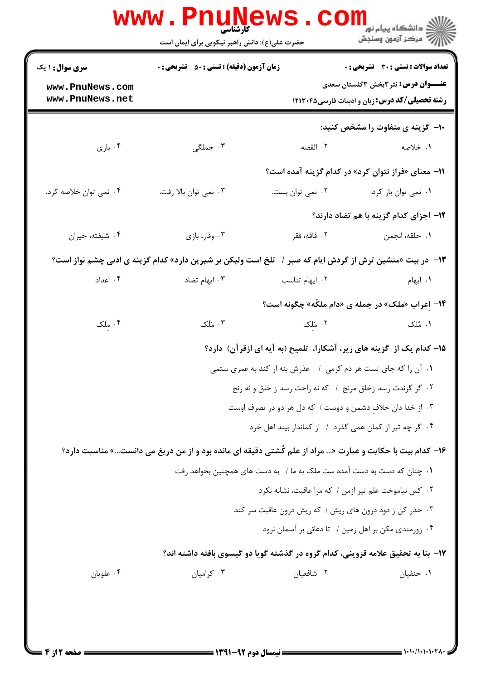|                                                              | <b>WWW.PNUNE</b><br>حضرت علی(ع): دانش راهبر نیکویی برای ایمان است                                                                                                                                                                                                                                                                                                                                                                                                                                                                                                                                                                                                                                                                                                                                                                                                     |                  | ڪ دانشڪاه پيام نو <mark>ر</mark><br>ر <i>ا</i> ⊂ مرڪز آزمون وسنجش                                                                            |  |
|--------------------------------------------------------------|-----------------------------------------------------------------------------------------------------------------------------------------------------------------------------------------------------------------------------------------------------------------------------------------------------------------------------------------------------------------------------------------------------------------------------------------------------------------------------------------------------------------------------------------------------------------------------------------------------------------------------------------------------------------------------------------------------------------------------------------------------------------------------------------------------------------------------------------------------------------------|------------------|----------------------------------------------------------------------------------------------------------------------------------------------|--|
| <b>سری سوال : ۱ یک</b><br>www.PnuNews.com<br>www.PnuNews.net | <b>زمان آزمون (دقیقه) : تستی : 50 ٪ تشریحی : 0</b>                                                                                                                                                                                                                                                                                                                                                                                                                                                                                                                                                                                                                                                                                                                                                                                                                    |                  | تعداد سوالات : تستي : 30 ٪ تشريحي : 0<br><b>عنـــوان درس:</b> نثر ۳بخش ۳گلستان سعدی<br><b>رشته تحصیلی/کد درس:</b> زبان و ادبیات فارسی1۲۱۳۰۴۵ |  |
| ۰۴ باری                                                      | ۰۳ جملگی                                                                                                                                                                                                                                                                                                                                                                                                                                                                                                                                                                                                                                                                                                                                                                                                                                                              | ٢. القصه         | ∙۱− گزینه ی متفاوت را مشخص کنید:<br>١. خلاصه                                                                                                 |  |
| ۰۴ نمی توان خلاصه کرد.                                       | ۰۳ نمی توان بالا رفت.                                                                                                                                                                                                                                                                                                                                                                                                                                                                                                                                                                                                                                                                                                                                                                                                                                                 | ۰۲ نمی توان بست. | 11– معنای «فراز نتوان کرد» در کدام گزینه آمده است؟<br>۰۱ نمی توان باز کرد.<br>1۲- اجزای کدام گزینه با هم تضاد دارند؟                         |  |
| ۰۴ شيفته، حيران                                              | ۰۳ وقار، بازي                                                                                                                                                                                                                                                                                                                                                                                                                                                                                                                                                                                                                                                                                                                                                                                                                                                         | ۰۲ فاقه، فقر     | ٠١. حلقه، انجمن                                                                                                                              |  |
| ۰۴ اعداد                                                     | ۱۳- در بیت «منشین ترش از گردش ایام که صبر / آتلخ است ولیکن بر شیرین دارد» کدام گزینه ی ادبی چشم نواز است؟<br>۰۳ ایهام تضاد                                                                                                                                                                                                                                                                                                                                                                                                                                                                                                                                                                                                                                                                                                                                            | ٠٢ ايهام تناسب   | ۰۱ ایهام                                                                                                                                     |  |
| ۰۴ ملک                                                       | ۱۴- اعراب «ملک» در جمله ی «دام ملکُه» چگونه است؟<br>۰۳ مَلَک<br>۰۲ مَلک<br>۰۱ مُلک<br>۱۵– کدام یک از گزینه های زیر، آشکارا، تلمیح (به آیه ای ازقرآن) دارد؟<br>۰۱ آن را که جای تست هر دم کرمی ۱ عذرش بنه ار کند به عمری ستمی<br>۰۲ گر گزندت رسد زخلق مرنج ۱ که نه راحت رسد ز خلق و نه رنج<br>۰۳ از خدا دان خلاف دشمن و دوست / که دل هر دو در تصرف اوست<br>۰۴ گر چه تیر از کمان همی گذرد / از کماندار بیند اهل خرد<br>۱۶- کدام بیت با حکایت و عبارت « مراد از علم کُشتی دقیقه ای مانده بود و از من دریغ می دانست» مناسبت دارد؟<br>۰۱ چنان که دست به دست آمده ست ملک به ما / به دست های همچنین بخواهد رفت<br>٠٢ كس نياموخت علم تير ازمن / كه مرا عاقبت، نشانه نكرد<br>۰۳ حذر کن ز دود درون های ریش / که ریش درون عاقبت سر کند<br>۰۴ زورمندي مكن بر اهل زمين / تا دعائي بر آسمان نرود<br>۱۷– بنا به تحقیق علامه قزوینی، کدام گروه در گذشته گویا دو گیسوی بافته داشته اند؟ |                  |                                                                                                                                              |  |
| ۰۴ علویان                                                    | ۰۳ کرامیان                                                                                                                                                                                                                                                                                                                                                                                                                                                                                                                                                                                                                                                                                                                                                                                                                                                            | ۰۲ شافعیان       | ۰۱ حنفیان                                                                                                                                    |  |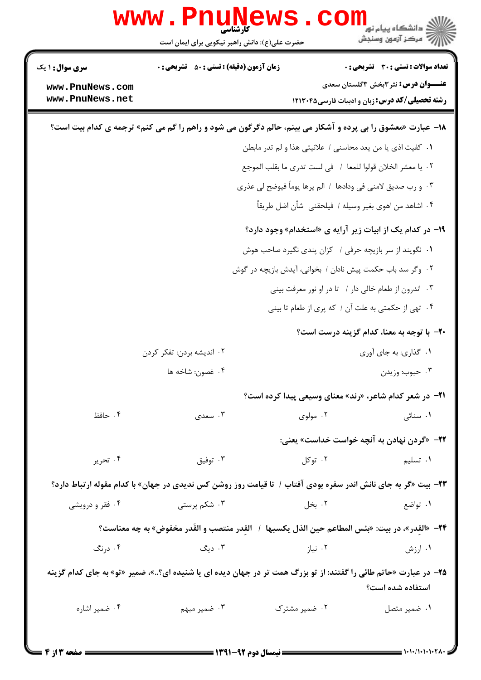|                                                                                                                    | WWW.Pnung<br>حضرت علی(ع): دانش راهبر نیکویی برای ایمان است                                                            |                                                             | ≦ دانشگاه پیام نو <mark>ر</mark><br>رِ آھرڪز آزمون وسنڊش                                           |  |  |
|--------------------------------------------------------------------------------------------------------------------|-----------------------------------------------------------------------------------------------------------------------|-------------------------------------------------------------|----------------------------------------------------------------------------------------------------|--|--|
| <b>سری سوال : ۱ یک</b>                                                                                             | <b>زمان آزمون (دقیقه) : تستی : 50 ٪ تشریحی : 0</b>                                                                    |                                                             | <b>تعداد سوالات : تستی : 30 ٪ تشریحی : 0</b>                                                       |  |  |
| www.PnuNews.com<br>www.PnuNews.net                                                                                 |                                                                                                                       |                                                             | <b>عنـــوان درس:</b> نثر۳بخش ۳گلستان سعدی<br><b>رشته تحصیلی/کد درس:</b> زبان و ادبیات فارسی1۲۱۳۰۴۵ |  |  |
| <b>۱۸</b> - عبارت «معشوق را بی پرده و آشکار می بینم، حالم دگرگون می شود و راهم را گم می کنم» ترجمه ی کدام بیت است؟ |                                                                                                                       |                                                             |                                                                                                    |  |  |
|                                                                                                                    |                                                                                                                       | ٠١ كفيت اذي يا من يعد محاسني / علانيتي هذا و لم تدر مابطن   |                                                                                                    |  |  |
|                                                                                                                    |                                                                                                                       | ٠٢ يا معشر الخلان قولوا للمعا ١ في لست تدرى ما بقلب الموجع  |                                                                                                    |  |  |
|                                                                                                                    |                                                                                                                       | ۰۳ و رب صديق لامنى فى ودادها ۱ الم يرها يوماً فيوضح لى عذرى |                                                                                                    |  |  |
|                                                                                                                    |                                                                                                                       | ۰۴ اشاهد من اهوى بغير وسيله / فيلحقني  شأن اضل طريقاً       |                                                                                                    |  |  |
|                                                                                                                    |                                                                                                                       |                                                             | ۱۹- در کدام یک از ابیات زیر آرایه ی «استخدام» وجود دارد؟                                           |  |  |
|                                                                                                                    |                                                                                                                       | ۰۱ نگویند از سر بازیچه حرفی / کزان پندی نگیرد صاحب هوش      |                                                                                                    |  |  |
|                                                                                                                    |                                                                                                                       | ۰۲ وگر سد باب حکمت پیش نادان / بخوانی، آیدش بازیچه در گوش   |                                                                                                    |  |  |
|                                                                                                                    |                                                                                                                       |                                                             | ۰۳ اندرون از طعام خالی دار / تا در او نور معرفت بینی                                               |  |  |
|                                                                                                                    |                                                                                                                       |                                                             | ۰۴ تهی از حکمتی به علت آن / که پری از طعام تا بینی                                                 |  |  |
|                                                                                                                    |                                                                                                                       |                                                             | ۲۰- با توجه به معنا، کدام گزینه درست است؟                                                          |  |  |
|                                                                                                                    | ۰۲ اندیشه بردن: تفکر کردن                                                                                             |                                                             | ۰۱ گذاري: به جاي آوري                                                                              |  |  |
|                                                                                                                    | ۰۴ غصون: شاخه ها                                                                                                      |                                                             | ۰۳ حبوب: وزيدن                                                                                     |  |  |
|                                                                                                                    |                                                                                                                       |                                                             | 21- در شعر کدام شاعر، «رند» معنای وسیعی پیدا کرده است؟                                             |  |  |
| ۰۴ حافظ                                                                                                            | ۰۳ سعدی                                                                                                               | ۰۲ مولوی                                                    | ۰۱ سنائی                                                                                           |  |  |
|                                                                                                                    |                                                                                                                       |                                                             | ۲۲– «گردن نهادن به آنچه خواست خداست» یعنی:                                                         |  |  |
| ۰۴ تحریر                                                                                                           | توفيق $\cdot^{\mathsf{r}}$                                                                                            | ۰۲ توکل                                                     | ٠١. تسليم                                                                                          |  |  |
|                                                                                                                    | <b>۲۳</b> - بیت «گر به جای نانش اندر سفره بودی آفتاب / تا قیامت روز روشن کس ندیدی در جهان» با کدام مقوله ارتباط دارد؟ |                                                             |                                                                                                    |  |  |
| ۰۴ فقر و درویشی                                                                                                    | ۰۳ شکم پرستی                                                                                                          | ۰۲ بخل                                                      | ۰۱ تواضع                                                                                           |  |  |
|                                                                                                                    | ٢۴− «القدر»، در بيت: «بئس المطاعم حين الذل يكسبها  /   القدر منتصب و القَدر مخفوض» به چه معناست؟                      |                                                             |                                                                                                    |  |  |
| ۰۴ درنگ                                                                                                            | ۰۳ دیگ                                                                                                                | ۰۲ نیاز                                                     | ۰۱ ارزش                                                                                            |  |  |
|                                                                                                                    | ۲۵- در عبارت «حاتم طائی را گفتند: از تو بزرگ همت تر در جهان دیده ای یا شنیده ای؟»، ضمیر «تو» به جای کدام گزینه        |                                                             | استفاده شده است؟                                                                                   |  |  |
| ۰۴ ضمیر اشاره                                                                                                      | ۰۳ ضمیر مبهم                                                                                                          | ۰۲ ضمیر مشترک                                               | ۰۱ ضمیر متصل                                                                                       |  |  |
|                                                                                                                    |                                                                                                                       |                                                             |                                                                                                    |  |  |